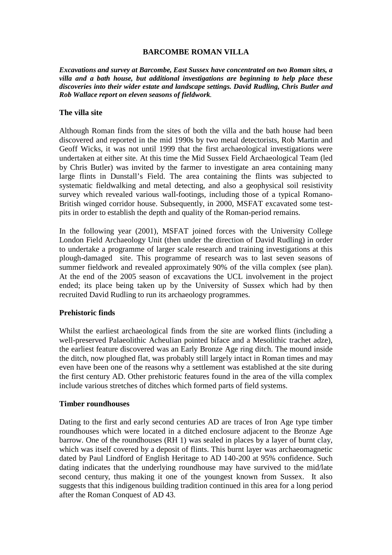### **BARCOMBE ROMAN VILLA**

*Excavations and survey at Barcombe, East Sussex have concentrated on two Roman sites, a villa and a bath house, but additional investigations are beginning to help place these discoveries into their wider estate and landscape settings. David Rudling, Chris Butler and Rob Wallace report on eleven seasons of fieldwork.*

#### **The villa site**

Although Roman finds from the sites of both the villa and the bath house had been discovered and reported in the mid 1990s by two metal detectorists, Rob Martin and Geoff Wicks, it was not until 1999 that the first archaeological investigations were undertaken at either site. At this time the Mid Sussex Field Archaeological Team (led by Chris Butler) was invited by the farmer to investigate an area containing many large flints in Dunstall's Field. The area containing the flints was subjected to systematic fieldwalking and metal detecting, and also a geophysical soil resistivity survey which revealed various wall-footings, including those of a typical Romano-British winged corridor house. Subsequently, in 2000, MSFAT excavated some testpits in order to establish the depth and quality of the Roman-period remains.

In the following year (2001), MSFAT joined forces with the University College London Field Archaeology Unit (then under the direction of David Rudling) in order to undertake a programme of larger scale research and training investigations at this plough-damaged site. This programme of research was to last seven seasons of summer fieldwork and revealed approximately 90% of the villa complex (see plan). At the end of the 2005 season of excavations the UCL involvement in the project ended; its place being taken up by the University of Sussex which had by then recruited David Rudling to run its archaeology programmes.

#### **Prehistoric finds**

Whilst the earliest archaeological finds from the site are worked flints (including a well-preserved Palaeolithic Acheulian pointed biface and a Mesolithic trachet adze), the earliest feature discovered was an Early Bronze Age ring ditch. The mound inside the ditch, now ploughed flat, was probably still largely intact in Roman times and may even have been one of the reasons why a settlement was established at the site during the first century AD. Other prehistoric features found in the area of the villa complex include various stretches of ditches which formed parts of field systems.

#### **Timber roundhouses**

Dating to the first and early second centuries AD are traces of Iron Age type timber roundhouses which were located in a ditched enclosure adjacent to the Bronze Age barrow. One of the roundhouses (RH 1) was sealed in places by a layer of burnt clay, which was itself covered by a deposit of flints. This burnt layer was archaeomagnetic dated by Paul Lindford of English Heritage to AD 140-200 at 95% confidence. Such dating indicates that the underlying roundhouse may have survived to the mid/late second century, thus making it one of the youngest known from Sussex. It also suggests that this indigenous building tradition continued in this area for a long period after the Roman Conquest of AD 43.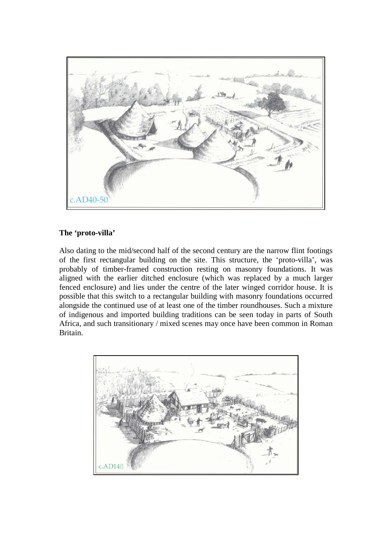

# **The 'proto-villa'**

Also dating to the mid/second half of the second century are the narrow flint footings of the first rectangular building on the site. This structure, the 'proto-villa', was probably of timber-framed construction resting on masonry foundations. It was aligned with the earlier ditched enclosure (which was replaced by a much larger fenced enclosure) and lies under the centre of the later winged corridor house. It is possible that this switch to a rectangular building with masonry foundations occurred alongside the continued use of at least one of the timber roundhouses. Such a mixture of indigenous and imported building traditions can be seen today in parts of South Africa, and such transitionary / mixed scenes may once have been common in Roman Britain.

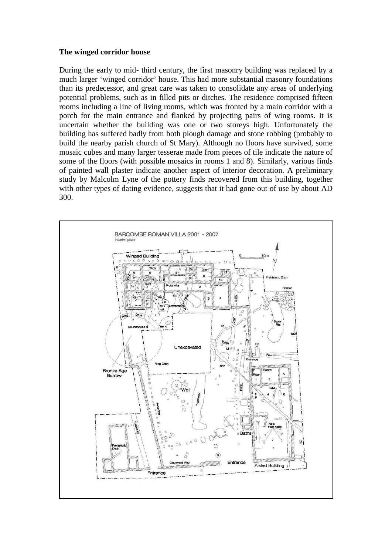#### **The winged corridor house**

During the early to mid- third century, the first masonry building was replaced by a much larger 'winged corridor' house. This had more substantial masonry foundations than its predecessor, and great care was taken to consolidate any areas of underlying potential problems, such as in filled pits or ditches. The residence comprised fifteen rooms including a line of living rooms, which was fronted by a main corridor with a porch for the main entrance and flanked by projecting pairs of wing rooms. It is uncertain whether the building was one or two storeys high. Unfortunately the building has suffered badly from both plough damage and stone robbing (probably to build the nearby parish church of St Mary). Although no floors have survived, some mosaic cubes and many larger tesserae made from pieces of tile indicate the nature of some of the floors (with possible mosaics in rooms 1 and 8). Similarly, various finds of painted wall plaster indicate another aspect of interior decoration. A preliminary study by Malcolm Lyne of the pottery finds recovered from this building, together with other types of dating evidence, suggests that it had gone out of use by about AD 300.

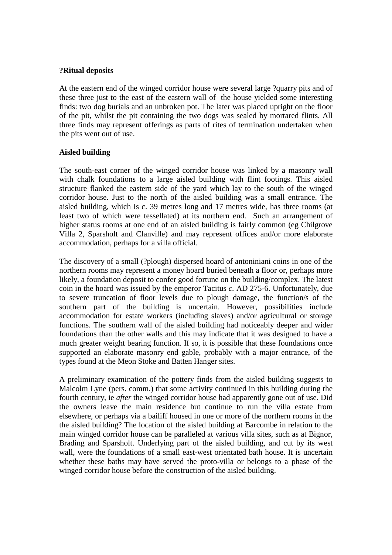#### **?Ritual deposits**

At the eastern end of the winged corridor house were several large ?quarry pits and of these three just to the east of the eastern wall of the house yielded some interesting finds: two dog burials and an unbroken pot. The later was placed upright on the floor of the pit, whilst the pit containing the two dogs was sealed by mortared flints. All three finds may represent offerings as parts of rites of termination undertaken when the pits went out of use.

#### **Aisled building**

The south-east corner of the winged corridor house was linked by a masonry wall with chalk foundations to a large aisled building with flint footings. This aisled structure flanked the eastern side of the yard which lay to the south of the winged corridor house. Just to the north of the aisled building was a small entrance. The aisled building, which is c. 39 metres long and 17 metres wide, has three rooms (at least two of which were tessellated) at its northern end. Such an arrangement of higher status rooms at one end of an aisled building is fairly common (eg Chilgrove Villa 2, Sparsholt and Clanville) and may represent offices and/or more elaborate accommodation, perhaps for a villa official.

The discovery of a small (?plough) dispersed hoard of antoniniani coins in one of the northern rooms may represent a money hoard buried beneath a floor or, perhaps more likely, a foundation deposit to confer good fortune on the building/complex. The latest coin in the hoard was issued by the emperor Tacitus *c.* AD 275-6. Unfortunately, due to severe truncation of floor levels due to plough damage, the function/s of the southern part of the building is uncertain. However, possibilities include accommodation for estate workers (including slaves) and/or agricultural or storage functions. The southern wall of the aisled building had noticeably deeper and wider foundations than the other walls and this may indicate that it was designed to have a much greater weight bearing function. If so, it is possible that these foundations once supported an elaborate masonry end gable, probably with a major entrance, of the types found at the Meon Stoke and Batten Hanger sites.

A preliminary examination of the pottery finds from the aisled building suggests to Malcolm Lyne (pers. comm.) that some activity continued in this building during the fourth century, ie *after* the winged corridor house had apparently gone out of use. Did the owners leave the main residence but continue to run the villa estate from elsewhere, or perhaps via a bailiff housed in one or more of the northern rooms in the the aisled building? The location of the aisled building at Barcombe in relation to the main winged corridor house can be paralleled at various villa sites, such as at Bignor, Brading and Sparsholt. Underlying part of the aisled building, and cut by its west wall, were the foundations of a small east-west orientated bath house. It is uncertain whether these baths may have served the proto-villa or belongs to a phase of the winged corridor house before the construction of the aisled building.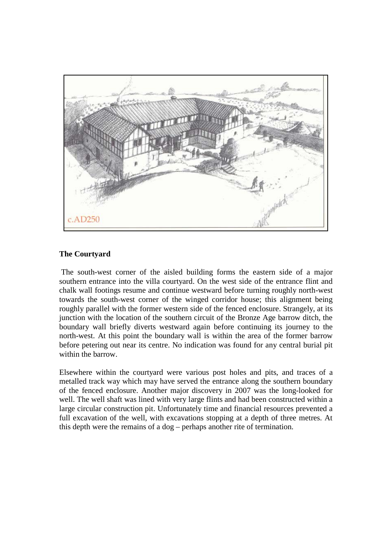

# **The Courtyard**

The south-west corner of the aisled building forms the eastern side of a major southern entrance into the villa courtyard. On the west side of the entrance flint and chalk wall footings resume and continue westward before turning roughly north-west towards the south-west corner of the winged corridor house; this alignment being roughly parallel with the former western side of the fenced enclosure. Strangely, at its junction with the location of the southern circuit of the Bronze Age barrow ditch, the boundary wall briefly diverts westward again before continuing its journey to the north-west. At this point the boundary wall is within the area of the former barrow before petering out near its centre. No indication was found for any central burial pit within the barrow.

Elsewhere within the courtyard were various post holes and pits, and traces of a metalled track way which may have served the entrance along the southern boundary of the fenced enclosure. Another major discovery in 2007 was the long-looked for well. The well shaft was lined with very large flints and had been constructed within a large circular construction pit. Unfortunately time and financial resources prevented a full excavation of the well, with excavations stopping at a depth of three metres. At this depth were the remains of a dog – perhaps another rite of termination.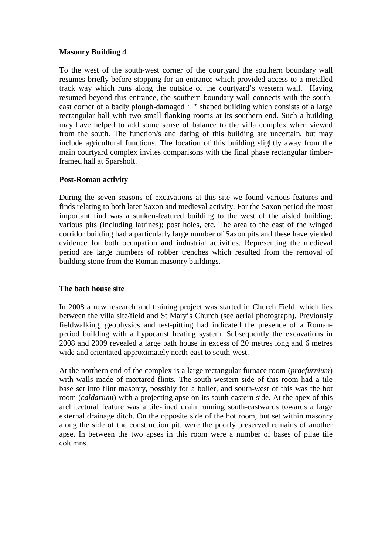### **Masonry Building 4**

To the west of the south-west corner of the courtyard the southern boundary wall resumes briefly before stopping for an entrance which provided access to a metalled track way which runs along the outside of the courtyard's western wall. Having resumed beyond this entrance, the southern boundary wall connects with the southeast corner of a badly plough-damaged 'T' shaped building which consists of a large rectangular hall with two small flanking rooms at its southern end. Such a building may have helped to add some sense of balance to the villa complex when viewed from the south. The function/s and dating of this building are uncertain, but may include agricultural functions. The location of this building slightly away from the main courtyard complex invites comparisons with the final phase rectangular timberframed hall at Sparsholt.

# **Post-Roman activity**

During the seven seasons of excavations at this site we found various features and finds relating to both later Saxon and medieval activity. For the Saxon period the most important find was a sunken-featured building to the west of the aisled building; various pits (including latrines); post holes, etc. The area to the east of the winged corridor building had a particularly large number of Saxon pits and these have yielded evidence for both occupation and industrial activities. Representing the medieval period are large numbers of robber trenches which resulted from the removal of building stone from the Roman masonry buildings.

# **The bath house site**

In 2008 a new research and training project was started in Church Field, which lies between the villa site/field and St Mary's Church (see aerial photograph). Previously fieldwalking, geophysics and test-pitting had indicated the presence of a Romanperiod building with a hypocaust heating system. Subsequently the excavations in 2008 and 2009 revealed a large bath house in excess of 20 metres long and 6 metres wide and orientated approximately north-east to south-west.

At the northern end of the complex is a large rectangular furnace room (*praefurnium*) with walls made of mortared flints. The south-western side of this room had a tile base set into flint masonry, possibly for a boiler, and south-west of this was the hot room (*caldarium*) with a projecting apse on its south-eastern side. At the apex of this architectural feature was a tile-lined drain running south-eastwards towards a large external drainage ditch. On the opposite side of the hot room, but set within masonry along the side of the construction pit, were the poorly preserved remains of another apse. In between the two apses in this room were a number of bases of pilae tile columns.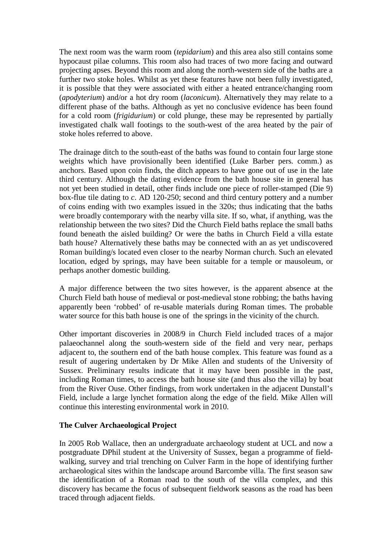The next room was the warm room (*tepidarium*) and this area also still contains some hypocaust pilae columns. This room also had traces of two more facing and outward projecting apses. Beyond this room and along the north-western side of the baths are a further two stoke holes. Whilst as yet these features have not been fully investigated, it is possible that they were associated with either a heated entrance/changing room (*apodyterium*) and/or a hot dry room (*laconicum*). Alternatively they may relate to a different phase of the baths. Although as yet no conclusive evidence has been found for a cold room (*frigidurium*) or cold plunge, these may be represented by partially investigated chalk wall footings to the south-west of the area heated by the pair of stoke holes referred to above.

The drainage ditch to the south-east of the baths was found to contain four large stone weights which have provisionally been identified (Luke Barber pers. comm.) as anchors. Based upon coin finds, the ditch appears to have gone out of use in the late third century. Although the dating evidence from the bath house site in general has not yet been studied in detail, other finds include one piece of roller-stamped (Die 9) box-flue tile dating to *c*. AD 120-250; second and third century pottery and a number of coins ending with two examples issued in the 320s; thus indicating that the baths were broadly contemporary with the nearby villa site. If so, what, if anything, was the relationship between the two sites? Did the Church Field baths replace the small baths found beneath the aisled building? Or were the baths in Church Field a villa estate bath house? Alternatively these baths may be connected with an as yet undiscovered Roman building/s located even closer to the nearby Norman church. Such an elevated location, edged by springs, may have been suitable for a temple or mausoleum, or perhaps another domestic building.

A major difference between the two sites however, is the apparent absence at the Church Field bath house of medieval or post-medieval stone robbing; the baths having apparently been 'robbed' of re-usable materials during Roman times. The probable water source for this bath house is one of the springs in the vicinity of the church.

Other important discoveries in 2008/9 in Church Field included traces of a major palaeochannel along the south-western side of the field and very near, perhaps adjacent to, the southern end of the bath house complex. This feature was found as a result of augering undertaken by Dr Mike Allen and students of the University of Sussex. Preliminary results indicate that it may have been possible in the past, including Roman times, to access the bath house site (and thus also the villa) by boat from the River Ouse. Other findings, from work undertaken in the adjacent Dunstall's Field, include a large lynchet formation along the edge of the field. Mike Allen will continue this interesting environmental work in 2010.

#### **The Culver Archaeological Project**

In 2005 Rob Wallace, then an undergraduate archaeology student at UCL and now a postgraduate DPhil student at the University of Sussex, began a programme of fieldwalking, survey and trial trenching on Culver Farm in the hope of identifying further archaeological sites within the landscape around Barcombe villa. The first season saw the identification of a Roman road to the south of the villa complex, and this discovery has became the focus of subsequent fieldwork seasons as the road has been traced through adjacent fields.